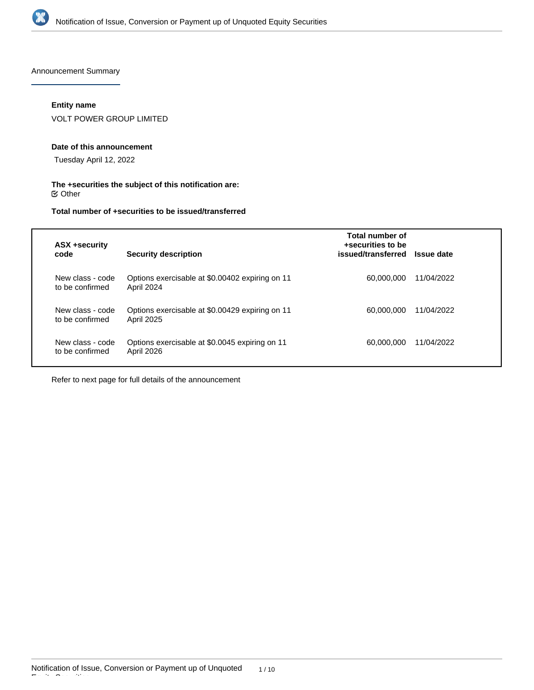

Announcement Summary

# **Entity name**

VOLT POWER GROUP LIMITED

#### **Date of this announcement**

Tuesday April 12, 2022

# **The +securities the subject of this notification are:**  $\mathfrak S$  Other

# **Total number of +securities to be issued/transferred**

| <b>ASX +security</b><br>code        | Security description                                                 | Total number of<br>+securities to be<br>issued/transferred | <b>Issue date</b> |
|-------------------------------------|----------------------------------------------------------------------|------------------------------------------------------------|-------------------|
| New class - code<br>to be confirmed | Options exercisable at \$0.00402 expiring on 11<br>April 2024        | 60,000,000                                                 | 11/04/2022        |
| New class - code<br>to be confirmed | Options exercisable at \$0.00429 expiring on 11<br><b>April 2025</b> | 60,000,000                                                 | 11/04/2022        |
| New class - code<br>to be confirmed | Options exercisable at \$0.0045 expiring on 11<br>April 2026         | 60,000,000                                                 | 11/04/2022        |

Refer to next page for full details of the announcement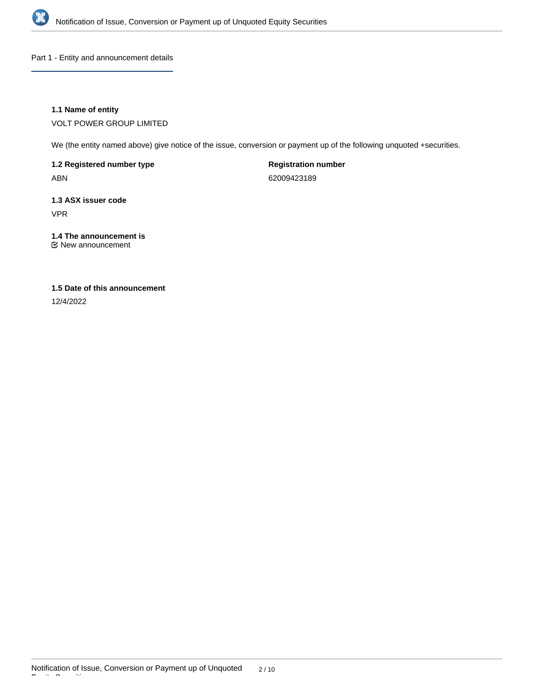

Part 1 - Entity and announcement details

# **1.1 Name of entity**

VOLT POWER GROUP LIMITED

We (the entity named above) give notice of the issue, conversion or payment up of the following unquoted +securities.

**1.2 Registered number type** ABN

**Registration number** 62009423189

**1.3 ASX issuer code** VPR

# **1.4 The announcement is**

New announcement

# **1.5 Date of this announcement**

12/4/2022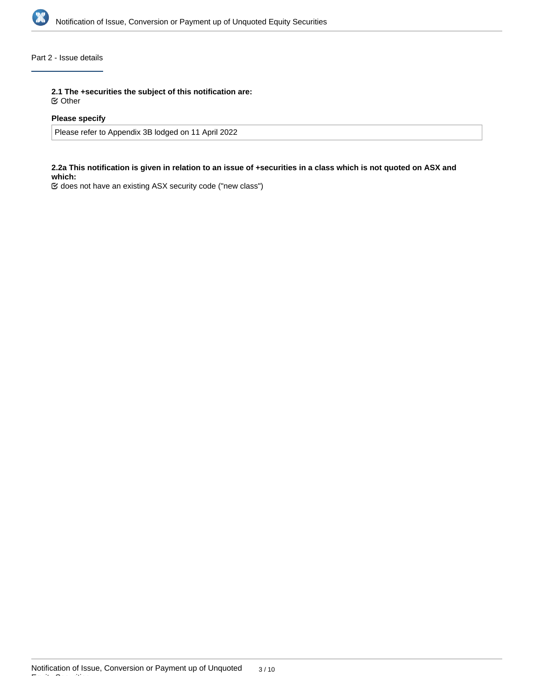

# Part 2 - Issue details

**2.1 The +securities the subject of this notification are:**

Other

## **Please specify**

Please refer to Appendix 3B lodged on 11 April 2022

# **2.2a This notification is given in relation to an issue of +securities in a class which is not quoted on ASX and which:**

does not have an existing ASX security code ("new class")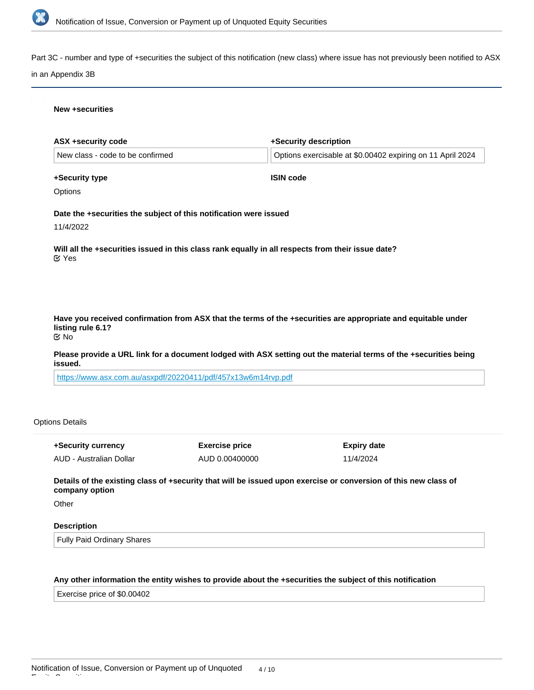

Part 3C - number and type of +securities the subject of this notification (new class) where issue has not previously been notified to ASX

### in an Appendix 3B

#### **New +securities**

| ASX +security code                                                | +Security description                                                                                            |
|-------------------------------------------------------------------|------------------------------------------------------------------------------------------------------------------|
| New class - code to be confirmed                                  | Options exercisable at \$0.00402 expiring on 11 April 2024                                                       |
| +Security type                                                    | <b>ISIN code</b>                                                                                                 |
| Options                                                           |                                                                                                                  |
| Date the +securities the subject of this notification were issued |                                                                                                                  |
| 11/4/2022                                                         |                                                                                                                  |
| $\mathfrak{C}$ Yes                                                | Will all the +securities issued in this class rank equally in all respects from their issue date?                |
|                                                                   |                                                                                                                  |
|                                                                   |                                                                                                                  |
| listing rule 6.1?<br><b>Mo</b>                                    | Have you received confirmation from ASX that the terms of the +securities are appropriate and equitable under    |
| issued.                                                           | Please provide a URL link for a document lodged with ASX setting out the material terms of the +securities being |

<https://www.asx.com.au/asxpdf/20220411/pdf/457x13w6m14rvp.pdf>

# Options Details

| +Security currency      | <b>Exercise price</b> | Expiry date |
|-------------------------|-----------------------|-------------|
| AUD - Australian Dollar | AUD 0.00400000        | 11/4/2024   |

**Details of the existing class of +security that will be issued upon exercise or conversion of this new class of company option**

**Other** 

Equity Securities

# **Description**

Fully Paid Ordinary Shares

# **Any other information the entity wishes to provide about the +securities the subject of this notification**

Exercise price of \$0.00402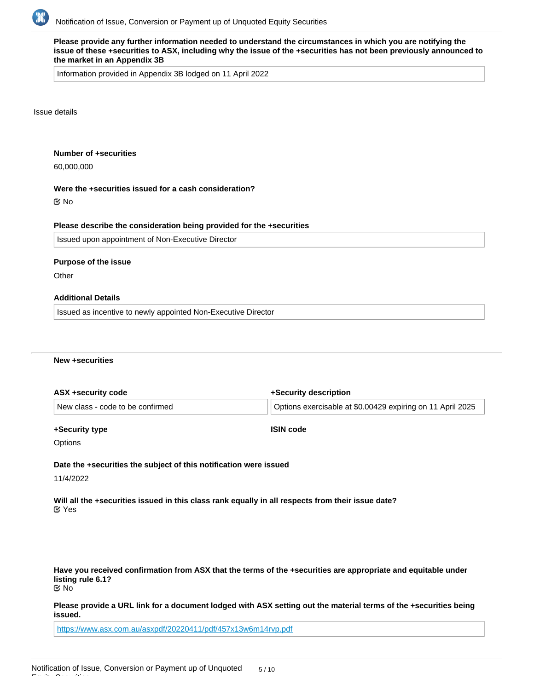

**Please provide any further information needed to understand the circumstances in which you are notifying the issue of these +securities to ASX, including why the issue of the +securities has not been previously announced to the market in an Appendix 3B**

Information provided in Appendix 3B lodged on 11 April 2022

#### Issue details

#### **Number of +securities**

60,000,000

#### **Were the +securities issued for a cash consideration?**

No

#### **Please describe the consideration being provided for the +securities**

Issued upon appointment of Non-Executive Director

#### **Purpose of the issue**

**Other** 

# **Additional Details**

Issued as incentive to newly appointed Non-Executive Director

#### **New +securities**

| +Security description                                      |  |
|------------------------------------------------------------|--|
| Options exercisable at \$0.00429 expiring on 11 April 2025 |  |
|                                                            |  |

#### **+Security type**

**ISIN code**

**Options** 

# **Date the +securities the subject of this notification were issued**

11/4/2022

Equity Securities

**Will all the +securities issued in this class rank equally in all respects from their issue date?** Yes

**Have you received confirmation from ASX that the terms of the +securities are appropriate and equitable under listing rule 6.1?** No

**Please provide a URL link for a document lodged with ASX setting out the material terms of the +securities being issued.**

<https://www.asx.com.au/asxpdf/20220411/pdf/457x13w6m14rvp.pdf>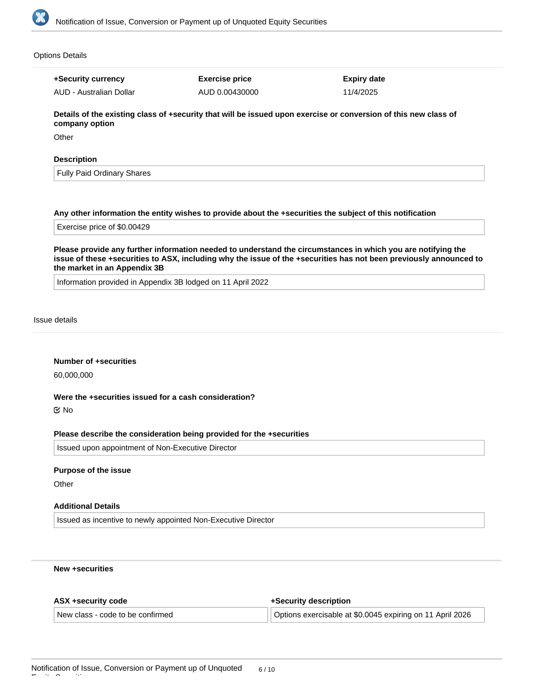

### Options Details

**+Security currency** AUD - Australian Dollar

# **Exercise price** AUD 0.00430000

**Expiry date** 11/4/2025

**Details of the existing class of +security that will be issued upon exercise or conversion of this new class of company option**

**Other** 

### **Description**

Fully Paid Ordinary Shares

### **Any other information the entity wishes to provide about the +securities the subject of this notification**

Exercise price of \$0.00429

**Please provide any further information needed to understand the circumstances in which you are notifying the issue of these +securities to ASX, including why the issue of the +securities has not been previously announced to the market in an Appendix 3B**

Information provided in Appendix 3B lodged on 11 April 2022

#### Issue details

### **Number of +securities**

60,000,000

# **Were the +securities issued for a cash consideration?**

No

#### **Please describe the consideration being provided for the +securities**

Issued upon appointment of Non-Executive Director

#### **Purpose of the issue**

**Other** 

Equity Securities

# **Additional Details**

Issued as incentive to newly appointed Non-Executive Director

# **New +securities**

| ASX +security code               | +Security description                                     |  |
|----------------------------------|-----------------------------------------------------------|--|
| New class - code to be confirmed | Options exercisable at \$0.0045 expiring on 11 April 2026 |  |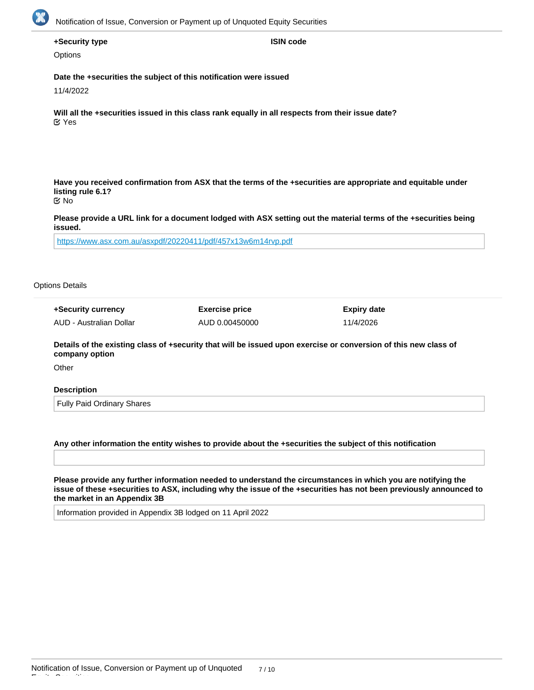

# **+Security type**

**Options** 

**Date the +securities the subject of this notification were issued**

11/4/2022

**Will all the +securities issued in this class rank equally in all respects from their issue date?** Yes

**Have you received confirmation from ASX that the terms of the +securities are appropriate and equitable under listing rule 6.1?**

**ISIN code**

No

**Please provide a URL link for a document lodged with ASX setting out the material terms of the +securities being issued.**

<https://www.asx.com.au/asxpdf/20220411/pdf/457x13w6m14rvp.pdf>

#### Options Details

| +Security currency      | <b>Exercise price</b> | <b>Expiry date</b> |
|-------------------------|-----------------------|--------------------|
| AUD - Australian Dollar | AUD 0.00450000        | 11/4/2026          |

**Details of the existing class of +security that will be issued upon exercise or conversion of this new class of company option**

**Other** 

Equity Securities

### **Description**

Fully Paid Ordinary Shares

#### **Any other information the entity wishes to provide about the +securities the subject of this notification**

**Please provide any further information needed to understand the circumstances in which you are notifying the issue of these +securities to ASX, including why the issue of the +securities has not been previously announced to the market in an Appendix 3B**

Information provided in Appendix 3B lodged on 11 April 2022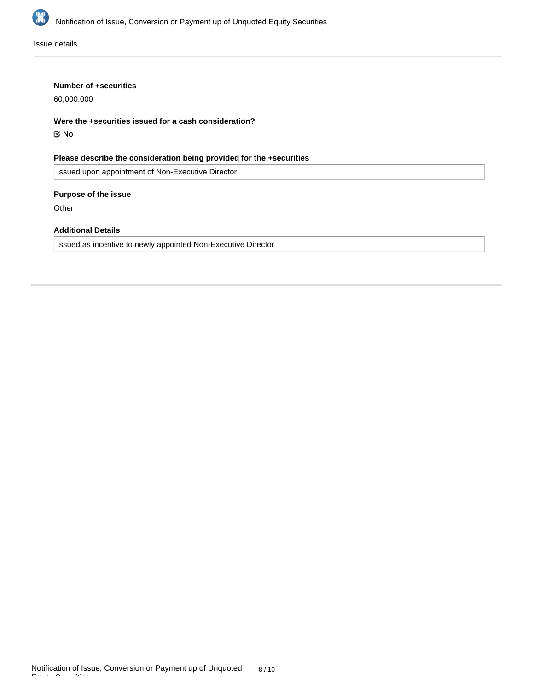

Issue details

# **Number of +securities**

60,000,000

**Were the +securities issued for a cash consideration?**

No

**Please describe the consideration being provided for the +securities**

Issued upon appointment of Non-Executive Director

# **Purpose of the issue**

**Other** 

# **Additional Details**

Issued as incentive to newly appointed Non-Executive Director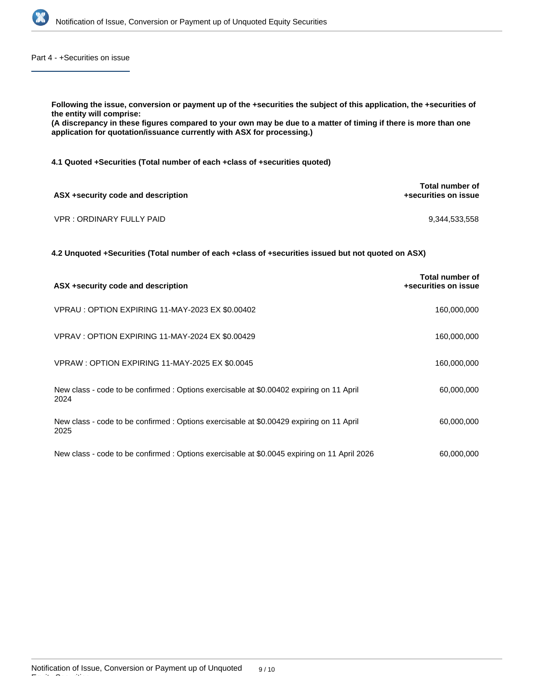

Part 4 - +Securities on issue

**Following the issue, conversion or payment up of the +securities the subject of this application, the +securities of the entity will comprise: (A discrepancy in these figures compared to your own may be due to a matter of timing if there is more than one application for quotation/issuance currently with ASX for processing.) 4.1 Quoted +Securities (Total number of each +class of +securities quoted) ASX +security code and description Total number of +securities on issue** VPR : ORDINARY FULLY PAID 9,344,533,558

**4.2 Unquoted +Securities (Total number of each +class of +securities issued but not quoted on ASX)**

| ASX +security code and description                                                               | Total number of<br>+securities on issue |
|--------------------------------------------------------------------------------------------------|-----------------------------------------|
| VPRAU : OPTION EXPIRING 11-MAY-2023 EX \$0.00402                                                 | 160,000,000                             |
| VPRAV: OPTION EXPIRING 11-MAY-2024 EX \$0.00429                                                  | 160,000,000                             |
| VPRAW: OPTION EXPIRING 11-MAY-2025 EX \$0.0045                                                   | 160,000,000                             |
| New class - code to be confirmed : Options exercisable at \$0.00402 expiring on 11 April<br>2024 | 60,000,000                              |
| New class - code to be confirmed : Options exercisable at \$0.00429 expiring on 11 April<br>2025 | 60,000,000                              |
| New class - code to be confirmed : Options exercisable at \$0.0045 expiring on 11 April 2026     | 60,000,000                              |